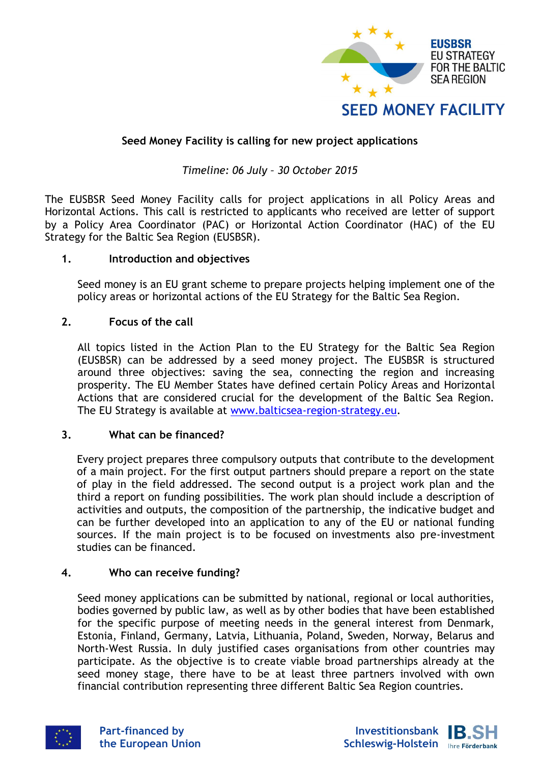

# **Seed Money Facility is calling for new project applications**

## *Timeline: 06 July – 30 October 2015*

The EUSBSR Seed Money Facility calls for project applications in all Policy Areas and Horizontal Actions. This call is restricted to applicants who received are letter of support by a Policy Area Coordinator (PAC) or Horizontal Action Coordinator (HAC) of the EU Strategy for the Baltic Sea Region (EUSBSR).

#### **1. Introduction and objectives**

Seed money is an EU grant scheme to prepare projects helping implement one of the policy areas or horizontal actions of the EU Strategy for the Baltic Sea Region.

#### **2. Focus of the call**

All topics listed in the Action Plan to the EU Strategy for the Baltic Sea Region (EUSBSR) can be addressed by a seed money project. The EUSBSR is structured around three objectives: saving the sea, connecting the region and increasing prosperity. The EU Member States have defined certain Policy Areas and Horizontal Actions that are considered crucial for the development of the Baltic Sea Region. The EU Strategy is available at [www.balticsea-region-strategy.eu.](http://www.balticsea-region-strategy.eu/)

#### **3. What can be financed?**

Every project prepares three compulsory outputs that contribute to the development of a main project. For the first output partners should prepare a report on the state of play in the field addressed. The second output is a project work plan and the third a report on funding possibilities. The work plan should include a description of activities and outputs, the composition of the partnership, the indicative budget and can be further developed into an application to any of the EU or national funding sources. If the main project is to be focused on investments also pre-investment studies can be financed.

#### **4. Who can receive funding?**

Seed money applications can be submitted by national, regional or local authorities, bodies governed by public law, as well as by other bodies that have been established for the specific purpose of meeting needs in the general interest from Denmark, Estonia, Finland, Germany, Latvia, Lithuania, Poland, Sweden, Norway, Belarus and North-West Russia. In duly justified cases organisations from other countries may participate. As the objective is to create viable broad partnerships already at the seed money stage, there have to be at least three partners involved with own financial contribution representing three different Baltic Sea Region countries.



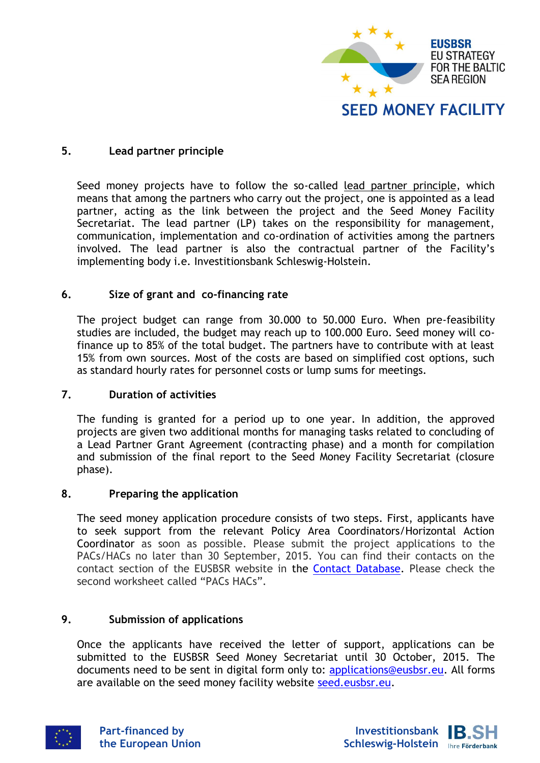

### **5. Lead partner principle**

Seed money projects have to follow the so-called lead partner principle, which means that among the partners who carry out the project, one is appointed as a lead partner, acting as the link between the project and the Seed Money Facility Secretariat. The lead partner (LP) takes on the responsibility for management, communication, implementation and co-ordination of activities among the partners involved. The lead partner is also the contractual partner of the Facility's implementing body i.e. Investitionsbank Schleswig-Holstein.

#### **6. Size of grant and co-financing rate**

The project budget can range from 30.000 to 50.000 Euro. When pre-feasibility studies are included, the budget may reach up to 100.000 Euro. Seed money will cofinance up to 85% of the total budget. The partners have to contribute with at least 15% from own sources. Most of the costs are based on simplified cost options, such as standard hourly rates for personnel costs or lump sums for meetings.

#### **7. Duration of activities**

The funding is granted for a period up to one year. In addition, the approved projects are given two additional months for managing tasks related to concluding of a Lead Partner Grant Agreement (contracting phase) and a month for compilation and submission of the final report to the Seed Money Facility Secretariat (closure phase).

#### **8. Preparing the application**

The seed money application procedure consists of two steps. First, applicants have to seek support from the relevant Policy Area Coordinators/Horizontal Action Coordinator as soon as possible. Please submit the project applications to the PACs/HACs no later than 30 September, 2015. You can find their contacts on the contact section of the EUSBSR website in the [Contact Database.](http://www.balticsea-region-strategy.eu/attachments/article/590647/EUSBSR%20Contact%20Database%20May%202015.xls) Please check the second worksheet called "PACs HACs".

#### **9. Submission of applications**

Once the applicants have received the letter of support, applications can be submitted to the EUSBSR Seed Money Secretariat until 30 October, 2015. The documents need to be sent in digital form only to: [applications@eusbsr.eu.](applications@eusbsr.eu) All forms are available on the seed money facility website [seed.eusbsr.eu.](http://seed.eusbsr.eu/)